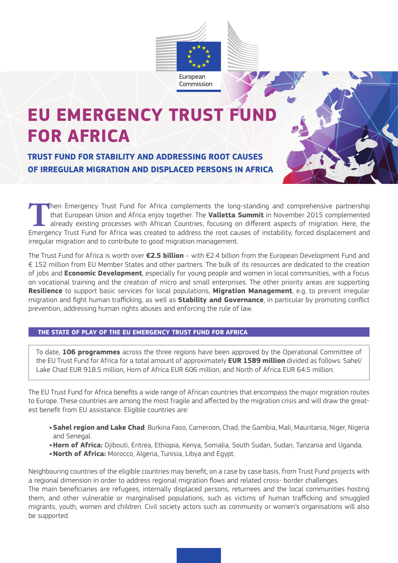

# **EU EMERGENCY TRUST FUN FOR AFRICA**

**TRUST FUND FOR STABILITY AND ADDRESSING ROOT CAUSES OF IRREGULAR MIGRATION AND DISPLACED PERSONS IN AFRICA**

Then Emergency Trust Fund for Africa complements the long-standing and comprehensive partnership<br>that European Union and Africa enjoy together. The **Valletta Summit** in November 2015 complemented<br>already existing processes that European Union and Africa enjoy together. The **Valletta Summit** in November 2015 complemented already existing processes with African Countries, focusing on different aspects of migration. Here, the Emergency Trust Fund for Africa was created to address the root causes of instability, forced displacement and irregular migration and to contribute to good migration management.

The Trust Fund for Africa is worth over **€2.5 billion** – with €2.4 billion from the European Development Fund and € 152 million from EU Member States and other partners. The bulk of its resources are dedicated to the creation of jobs and **Economic Development**, especially for young people and women in local communities, with a focus on vocational training and the creation of micro and small enterprises. The other priority areas are supporting **Resilience** to support basic services for local populations, **Migration Management**, e.g. to prevent irregular migration and fight human trafficking, as well as **Stability and Governance**, in particular by promoting conflict prevention, addressing human rights abuses and enforcing the rule of law.

# **THE STATE OF PLAY OF THE EU EMERGENCY TRUST FUND FOR AFRICA**

To date, **106 programmes** across the three regions have been approved by the Operational Committee of the EU Trust Fund for Africa for a total amount of approximately **EUR 1589 million** divided as follows: Sahel/ Lake Chad EUR 918.5 million, Horn of Africa EUR 606 million, and North of Africa EUR 64.5 million.

The EU Trust Fund for Africa benefits a wide range of African countries that encompass the major migration routes to Europe. These countries are among the most fragile and affected by the migration crisis and will draw the greatest benefit from EU assistance. Eligible countries are:

- **•Sahel region and Lake Chad**: Burkina Faso, Cameroon, Chad, the Gambia, Mali, Mauritania, Niger, Nigeria and Senegal.
- **•Horn of Africa:** Djibouti, Eritrea, Ethiopia, Kenya, Somalia, South Sudan, Sudan, Tanzania and Uganda.
- **•North of Africa:** Morocco, Algeria, Tunisia, Libya and Egypt.

Neighbouring countries of the eligible countries may benefit, on a case by case basis, from Trust Fund projects with a regional dimension in order to address regional migration flows and related cross- border challenges. The main beneficiaries are refugees, internally displaced persons, returnees and the local communities hosting them, and other vulnerable or marginalised populations, such as victims of human trafficking and smuggled migrants, youth, women and children. Civil society actors such as community or women's organisations will also be supported.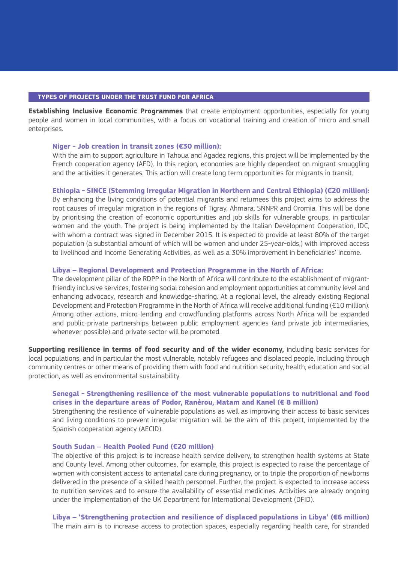#### **TYPES OF PROJECTS UNDER THE TRUST FUND FOR AFRICA**

**Establishing Inclusive Economic Programmes** that create employment opportunities, especially for young people and women in local communities, with a focus on vocational training and creation of micro and small enterprises.

#### **Niger - Job creation in transit zones (€30 million):**

 With the aim to support agriculture in Tahoua and Agadez regions, this project will be implemented by the French cooperation agency (AFD). In this region, economies are highly dependent on migrant smuggling and the activities it generates. This action will create long term opportunities for migrants in transit.

## **Ethiopia - SINCE (Stemming Irregular Migration in Northern and Central Ethiopia) (€20 million):**

 By enhancing the living conditions of potential migrants and returnees this project aims to address the root causes of irregular migration in the regions of Tigray, Ahmara, SNNPR and Oromia. This will be done by prioritising the creation of economic opportunities and job skills for vulnerable groups, in particular women and the youth. The project is being implemented by the Italian Development Cooperation, IDC, with whom a contract was signed in December 2015. It is expected to provide at least 80% of the target population (a substantial amount of which will be women and under 25-year-olds,) with improved access to livelihood and Income Generating Activities, as well as a 30% improvement in beneficiaries' income.

## **Libya – Regional Development and Protection Programme in the North of Africa:**

 The development pillar of the RDPP in the North of Africa will contribute to the establishment of migrantfriendly inclusive services, fostering social cohesion and employment opportunities at community level and enhancing advocacy, research and knowledge-sharing. At a regional level, the already existing Regional Development and Protection Programme in the North of Africa will receive additional funding (€10 million). Among other actions, micro-lending and crowdfunding platforms across North Africa will be expanded and public-private partnerships between public employment agencies (and private job intermediaries, whenever possible) and private sector will be promoted.

**Supporting resilience in terms of food security and of the wider economy,** including basic services for local populations, and in particular the most vulnerable, notably refugees and displaced people, including through community centres or other means of providing them with food and nutrition security, health, education and social protection, as well as environmental sustainability.

## **Senegal - Strengthening resilience of the most vulnerable populations to nutritional and food crises in the departure areas of Podor, Ranérou, Matam and Kanel (€ 8 million)**

 Strengthening the resilience of vulnerable populations as well as improving their access to basic services and living conditions to prevent irregular migration will be the aim of this project, implemented by the Spanish cooperation agency (AECID).

## **South Sudan – Health Pooled Fund (€20 million)**

 The objective of this project is to increase health service delivery, to strengthen health systems at State and County level. Among other outcomes, for example, this project is expected to raise the percentage of women with consistent access to antenatal care during pregnancy, or to triple the proportion of newborns delivered in the presence of a skilled health personnel. Further, the project is expected to increase access to nutrition services and to ensure the availability of essential medicines. Activities are already ongoing under the implementation of the UK Department for International Development (DFID).

**Libya – 'Strengthening protection and resilience of displaced populations in Libya' (€6 million)** The main aim is to increase access to protection spaces, especially regarding health care, for stranded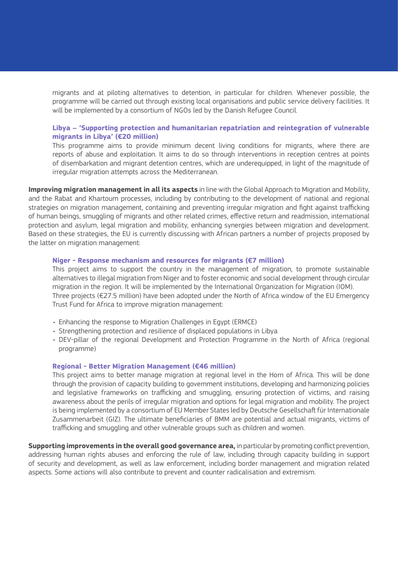migrants and at piloting alternatives to detention, in particular for children. Whenever possible, the programme will be carried out through existing local organisations and public service delivery facilities. It will be implemented by a consortium of NGOs led by the Danish Refugee Council.

## **Libya – 'Supporting protection and humanitarian repatriation and reintegration of vulnerable migrants in Libya' (€20 million)**

 This programme aims to provide minimum decent living conditions for migrants, where there are reports of abuse and exploitation. It aims to do so through interventions in reception centres at points of disembarkation and migrant detention centres, which are underequipped, in light of the magnitude of irregular migration attempts across the Mediterranean.

**Improving migration management in all its aspects** in line with the Global Approach to Migration and Mobility, and the Rabat and Khartoum processes, including by contributing to the development of national and regional strategies on migration management, containing and preventing irregular migration and fight against trafficking of human beings, smuggling of migrants and other related crimes, effective return and readmission, international protection and asylum, legal migration and mobility, enhancing synergies between migration and development. Based on these strategies, the EU is currently discussing with African partners a number of projects proposed by the latter on migration management:

## **Niger - Response mechanism and resources for migrants (€7 million)**

 This project aims to support the country in the management of migration, to promote sustainable alternatives to illegal migration from Niger and to foster economic and social development through circular migration in the region. It will be implemented by the International Organization for Migration (IOM). Three projects (€27.5 million) have been adopted under the North of Africa window of the EU Emergency Trust Fund for Africa to improve migration management:

- Enhancing the response to Migration Challenges in Egypt (ERMCE)
- Strengthening protection and resilience of displaced populations in Libya
- DEV-pillar of the regional Development and Protection Programme in the North of Africa (regional programme)

## **Regional - Better Migration Management (€46 million)**

This project aims to better manage migration at regional level in the Horn of Africa. This will be done through the provision of capacity building to government institutions, developing and harmonizing policies and legislative frameworks on trafficking and smuggling, ensuring protection of victims, and raising awareness about the perils of irregular migration and options for legal migration and mobility. The project is being implemented by a consortium of EU Member States led by Deutsche Gesellschaft für Internationale Zusammenarbeit (GIZ). The ultimate beneficiaries of BMM are potential and actual migrants, victims of trafficking and smuggling and other vulnerable groups such as children and women.

**Supporting improvements in the overall good governance area,** in particular by promoting conflict prevention, addressing human rights abuses and enforcing the rule of law, including through capacity building in support of security and development, as well as law enforcement, including border management and migration related aspects. Some actions will also contribute to prevent and counter radicalisation and extremism.